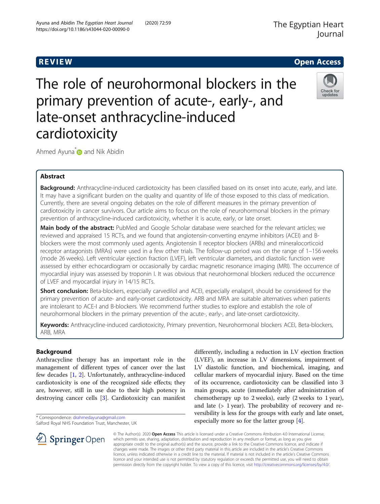# **REVIEW CONSTRUCTION CONSTRUCTION CONSTRUCTS**



The role of neurohormonal blockers in the primary prevention of acute-, early-, and late-onset anthracycline-induced cardiotoxicity

Ahmed Ayuna  $\mathbf{\hat{\omega}}$  and Nik Abidin

# Abstract

Background: Anthracycline-induced cardiotoxicity has been classified based on its onset into acute, early, and late. It may have a significant burden on the quality and quantity of life of those exposed to this class of medication. Currently, there are several ongoing debates on the role of different measures in the primary prevention of cardiotoxicity in cancer survivors. Our article aims to focus on the role of neurohormonal blockers in the primary prevention of anthracycline-induced cardiotoxicity, whether it is acute, early, or late onset.

Main body of the abstract: PubMed and Google Scholar database were searched for the relevant articles; we reviewed and appraised 15 RCTs, and we found that angiotensin-converting enzyme inhibitors (ACEI) and Bblockers were the most commonly used agents. Angiotensin II receptor blockers (ARBs) and mineralocorticoid receptor antagonists (MRAs) were used in a few other trials. The follow-up period was on the range of 1–156 weeks (mode 26 weeks). Left ventricular ejection fraction (LVEF), left ventricular diameters, and diastolic function were assessed by either echocardiogram or occasionally by cardiac magnetic resonance imaging (MRI). The occurrence of myocardial injury was assessed by troponin I. It was obvious that neurohormonal blockers reduced the occurrence of LVEF and myocardial injury in 14/15 RCTs.

Short conclusion: Beta-blockers, especially carvedilol and ACEI, especially enalapril, should be considered for the primary prevention of acute- and early-onset cardiotoxicity. ARB and MRA are suitable alternatives when patients are intolerant to ACE-I and B-blockers. We recommend further studies to explore and establish the role of neurohormonal blockers in the primary prevention of the acute-, early-, and late-onset cardiotoxicity.

Keywords: Anthracycline-induced cardiotoxicity, Primary prevention, Neurohormonal blockers ACEI, Beta-blockers, ARB, MRA

# Background

Anthracycline therapy has an important role in the management of different types of cancer over the last few decades [[1,](#page-6-0) [2](#page-6-0)]. Unfortunately, anthracycline-induced cardiotoxicity is one of the recognized side effects; they are, however, still in use due to their high potency in destroying cancer cells [\[3](#page-6-0)]. Cardiotoxicity can manifest

\* Correspondence: [drahmedayuna@gmail.com](mailto:drahmedayuna@gmail.com)

Salford Royal NHS Foundation Trust, Manchester, UK

differently, including a reduction in LV ejection fraction (LVEF), an increase in LV dimensions, impairment of LV diastolic function, and biochemical, imaging, and cellular markers of myocardial injury. Based on the time of its occurrence, cardiotoxicity can be classified into 3 main groups, acute (immediately after administration of chemotherapy up to 2 weeks), early (2 weeks to 1 year), and late (> 1 year). The probability of recovery and reversibility is less for the groups with early and late onset, especially more so for the latter group [\[4](#page-6-0)].



© The Author(s). 2020 Open Access This article is licensed under a Creative Commons Attribution 4.0 International License, which permits use, sharing, adaptation, distribution and reproduction in any medium or format, as long as you give appropriate credit to the original author(s) and the source, provide a link to the Creative Commons licence, and indicate if changes were made. The images or other third party material in this article are included in the article's Creative Commons licence, unless indicated otherwise in a credit line to the material. If material is not included in the article's Creative Commons licence and your intended use is not permitted by statutory regulation or exceeds the permitted use, you will need to obtain permission directly from the copyright holder. To view a copy of this licence, visit <http://creativecommons.org/licenses/by/4.0/>.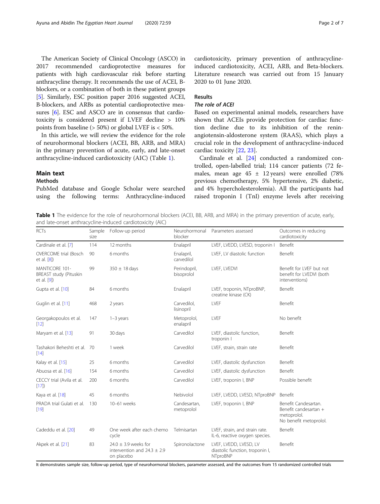The American Society of Clinical Oncology (ASCO) in 2017 recommended cardioprotective measures for patients with high cardiovascular risk before starting anthracycline therapy. It recommends the use of ACEI, Bblockers, or a combination of both in these patient groups [[5\]](#page-6-0). Similarly, ESC position paper 2016 suggested ACEI, B-blockers, and ARBs as potential cardioprotective measures [[6](#page-6-0)]. ESC and ASCO are in consensus that cardiotoxicity is considered present if LVEF decline > 10% points from baseline ( $> 50\%$ ) or global LVEF is  $< 50\%$ .

In this article, we will review the evidence for the role of neurohormonal blockers (ACEI, BB, ARB, and MRA) in the primary prevention of acute, early, and late-onset anthracycline-induced cardiotoxicity (AIC) (Table 1).

# Main text

## Methods

PubMed database and Google Scholar were searched using the following terms: Anthracycline-induced

cardiotoxicity, primary prevention of anthracyclineinduced cardiotoxicity, ACEI, ARB, and Beta-blockers. Literature research was carried out from 15 January 2020 to 01 June 2020.

# Results

# The role of ACEI

Based on experimental animal models, researchers have shown that ACEIs provide protection for cardiac function decline due to its inhibition of the reninangiotensin-aldosterone system (RAAS), which plays a crucial role in the development of anthracycline-induced cardiac toxicity [[22,](#page-6-0) [23\]](#page-6-0).

Cardinale et al. [[24\]](#page-6-0) conducted a randomized controlled, open-labelled trial; 114 cancer patients (72 females, mean age  $45 \pm 12$  years) were enrolled (78% previous chemotherapy, 5% hypertensive, 2% diabetic, and 4% hypercholesterolemia). All the participants had raised troponin I (TnI) enzyme levels after receiving

Table 1 The evidence for the role of neurohormonal blockers (ACEI, BB, ARB, and MRA) in the primary prevention of acute, early, and late-onset anthracycline-induced cardiotoxicity (AIC)

| <b>RCTs</b>                                             | Sample<br>size | Follow-up period                                                          | Neurohormonal<br>blocker   | Parameters assessed                                                   | Outcomes in reducing<br>cardiotoxicity                                                 |
|---------------------------------------------------------|----------------|---------------------------------------------------------------------------|----------------------------|-----------------------------------------------------------------------|----------------------------------------------------------------------------------------|
| Cardinale et al. [7]                                    | 114            | 12 months                                                                 | Enalapril                  | LVEF, LVEDD, LVESD, troponin I                                        | Benefit                                                                                |
| <b>OVERCOME</b> trial (Bosch<br>et al. [8])             | 90             | 6 months                                                                  | Enalapril,<br>carvedilol   | LVEF. LV diastolic function                                           | Benefit                                                                                |
| MANTICORE 101-<br>BREAST study (Pituskin<br>et al. [9]) | 99             | $350 \pm 18$ days                                                         | Perindopril,<br>bisoprolol | LVEF, LVEDVI                                                          | Benefit for LVEF but not<br>benefit for LVEDVI (both<br>interventions)                 |
| Gupta et al. [10]                                       | 84             | 6 months                                                                  | Enalapril                  | LVEF, troponin, NTproBNP,<br>creatine kinase (CK)                     | Benefit                                                                                |
| Guglin et al. [11]                                      | 468            | 2 years                                                                   | Carvedilol.<br>lisinopril  | LVEF                                                                  | Benefit                                                                                |
| Georgakopoulos et al.<br>[12]                           | 147            | $1-3$ years                                                               | Metoprolol,<br>enalapril   | LVEF                                                                  | No benefit                                                                             |
| Maryam et al. [13]                                      | 91             | 30 days                                                                   | Carvedilol                 | LVEF, diastolic function,<br>troponin I                               | Benefit                                                                                |
| Tashakori Beheshti et al. 70<br>[14]                    |                | 1 week                                                                    | Carvedilol                 | LVEF, strain, strain rate                                             | Benefit                                                                                |
| Kalay et al. [15]                                       | 25             | 6 months                                                                  | Carvedilol                 | LVEF, diastolic dysfunction                                           | Benefit                                                                                |
| Abuosa et al. [16]                                      | 154            | 6 months                                                                  | Carvedilol                 | LVEF, diastolic dysfunction                                           | Benefit                                                                                |
| CECCY trial (Avila et al.<br>[17]                       | 200            | 6 months                                                                  | Carvedilol                 | LVEF, troponin I, BNP                                                 | Possible benefit                                                                       |
| Kaya et al. [18]                                        | 45             | 6 months                                                                  | Nebivolol                  | LVEF, LVEDD, LVESD, NTproBNP                                          | Benefit                                                                                |
| PRADA trial Gulati et al.<br>[19]                       | 130            | 10-61 weeks                                                               | Candesartan,<br>metoprolol | LVEF, troponin I, BNP                                                 | Benefit Candesartan.<br>Benefit candesartan +<br>metoprolol.<br>No benefit metoprolol. |
| Cadeddu et al. [20]                                     | 49             | One week after each chemo<br>cycle                                        | Telmisartan                | LVEF, strain, and strain rate.<br>IL-6, reactive oxygen species.      | Benefit                                                                                |
| Akpek et al. [21]                                       | 83             | 24.0 $\pm$ 3.9 weeks for<br>intervention and $24.3 \pm 2.9$<br>on placebo | Spironolactone             | LVEF, LVEDD, LVESD, LV<br>diastolic function, troponin I,<br>NTproBNP | Benefit                                                                                |

It demonstrates sample size, follow-up period, type of neurohormonal blockers, parameter assessed, and the outcomes from 15 randomized controlled trials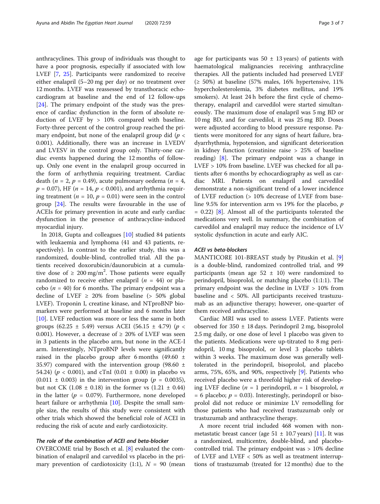anthracyclines. This group of individuals was thought to have a poor prognosis, especially if associated with low LVEF [\[7](#page-6-0), [25](#page-6-0)]. Participants were randomized to receive either enalapril (5–20 mg per day) or no treatment over 12 months. LVEF was reassessed by transthoracic echocardiogram at baseline and the end of 12 follow-ups [[24\]](#page-6-0). The primary endpoint of the study was the presence of cardiac dysfunction in the form of absolute reduction of LVEF by > 10% compared with baseline. Forty-three percent of the control group reached the primary endpoint, but none of the enalapril group did ( $p <$ 0.001). Additionally, there was an increase in LVEDV and LVESV in the control group only. Thirty-one cardiac events happened during the 12 months of followup. Only one event in the enalapril group occurred in the form of arrhythmia requiring treatment. Cardiac death (*n* = 2, *p* = 0.49), acute pulmonary oedema (*n* = 4,  $p = 0.07$ ), HF ( $n = 14$ ,  $p < 0.001$ ), and arrhythmia requiring treatment ( $n = 10$ ,  $p = 0.01$ ) were seen in the control group [[24\]](#page-6-0). The results were favourable in the use of ACEIs for primary prevention in acute and early cardiac dysfunction in the presence of anthracycline-induced myocardial injury.

In 2018, Gupta and colleagues [\[10](#page-6-0)] studied 84 patients with leukaemia and lymphoma (41 and 43 patients, respectively). In contrast to the earlier study, this was a randomized, double-blind, controlled trial. All the patients received doxorubicin/daunorubicin at a cumulative dose of  $\geq 200 \text{ mg/m}^2$ . Those patients were equally randomized to receive either enalapril  $(n = 44)$  or placebo ( $n = 40$ ) for 6 months. The primary endpoint was a decline of LVEF  $\geq$  20% from baseline ( $>$  50% global LVEF). Troponin I, creatine kinase, and NTproBNP biomarkers were performed at baseline and 6 months later [[10\]](#page-6-0). LVEF reduction was more or less the same in both groups (62.25 ± 5.49) versus ACEI (56.15 ± 4.79) ( $p$  < 0.001). However, a decrease of  $\geq$  20% of LVEF was seen in 3 patients in the placebo arm, but none in the ACE-I arm. Interestingly, NTproBNP levels were significantly raised in the placebo group after 6 months (49.60  $\pm$ 35.97) compared with the intervention group (98.60  $\pm$ 54.24) ( $p < 0.001$ ), and cTnI (0.01  $\pm$  0.00) in placebo vs  $(0.011 \pm 0.003)$  in the intervention group ( $p = 0.0035$ ), but not CK  $(1.08 \pm 0.18)$  in the former vs  $(1.21 \pm 0.44)$ in the latter ( $p = 0.079$ ). Furthermore, none developed heart failure or arrhythmia [\[10](#page-6-0)]. Despite the small sample size, the results of this study were consistent with other trials which showed the beneficial role of ACEI in reducing the risk of acute and early cardiotoxicity.

#### The role of the combination of ACEI and beta-blocker

OVERCOME trial by Bosch et al. [[8](#page-6-0)] evaluated the combination of enalapril and carvedilol vs placebo in the primary prevention of cardiotoxicity (1:1),  $N = 90$  (mean age for participants was  $50 \pm 13$  years) of patients with haematological malignancies receiving anthracycline therapies. All the patients included had preserved LVEF  $(\geq 50\%)$  at baseline (57% males, 16% hypertensive, 11% hypercholesterolemia, 3% diabetes mellitus, and 19% smokers). At least 24 h before the first cycle of chemotherapy, enalapril and carvedilol were started simultaneously. The maximum dose of enalapril was 5 mg BD or 10 mg BD, and for carvedilol, it was 25 mg BD. Doses were adjusted according to blood pressure response. Patients were monitored for any signs of heart failure, bradyarrhythmia, hypotension, and significant deterioration in kidney function (creatinine raise > 25% of baseline reading) [\[8](#page-6-0)]. The primary endpoint was a change in LVEF > 10% from baseline. LVEF was checked for all patients after 6 months by echocardiography as well as cardiac MRI. Patients on enalapril and carvedilol demonstrate a non-significant trend of a lower incidence of LVEF reduction (> 10% decrease of LVEF from baseline 9.5% for intervention arm vs 19% for the placebo, p  $= 0.22$ ) [\[8\]](#page-6-0). Almost all of the participants tolerated the medications very well. In summary, the combination of carvedilol and enalapril may reduce the incidence of LV systolic dysfunction in acute and early AIC.

## ACEI vs beta-blockers

MANTICORE 101-BREAST study by Pituskin et al. [\[9](#page-6-0)] is a double-blind, randomized controlled trial, and 99 participants (mean age  $52 \pm 10$ ) were randomized to perindopril, bisoprolol, or matching placebo (1:1:1). The primary endpoint was the decline in LVEF > 10% from baseline and < 50%. All participants received trastuzumab as an adjunctive therapy; however, one-quarter of them received anthracycline.

Cardiac MRI was used to assess LVEF. Patients were observed for 350 ± 18 days. Perindopril 2 mg, bisoprolol 2.5 mg daily, or one dose of level 1 placebo was given to the patients. Medications were up-titrated to 8 mg perindopril, 10 mg bisoprolol, or level 3 placebo tablets within 3 weeks. The maximum dose was generally welltolerated in the perindopril, bisoprolol, and placebo arms, 75%, 65%, and 90%, respectively [\[9](#page-6-0)]. Patients who received placebo were a threefold higher risk of developing LVEF decline (*n* = 1 perindopril, *n* = 1 bisoprolol, *n*  $= 6$  placebo;  $p = 0.03$ ). Interestingly, perindopril or bisoprolol did not reduce or minimize LV remodelling for those patients who had received trastuzumab only or trastuzumab and anthracycline therapy.

A more recent trial included 468 women with nonmetastatic breast cancer (age  $51 \pm 10.7$  years) [[11\]](#page-6-0). It was a randomized, multicentre, double-blind, and placebocontrolled trial. The primary endpoint was > 10% decline of LVEF and LVEF < 50% as well as treatment interruptions of trastuzumab (treated for 12 months) due to the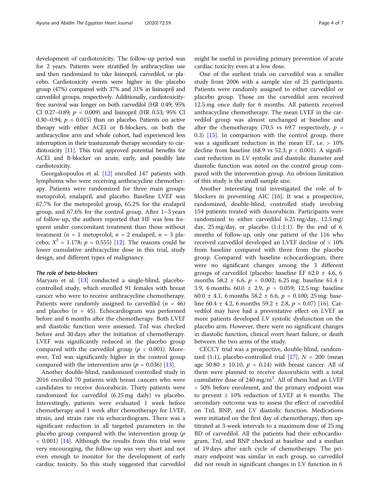development of cardiotoxicity. The follow-up period was for 2 years. Patients were stratified by anthracycline use and then randomized to take lisinopril, carvedilol, or placebo. Cardiotoxicity events were higher in the placebo group (47%) compared with 37% and 31% in lisinopril and carvedilol groups, respectively. Additionally, cardiotoxicityfree survival was longer on both carvedilol (HR 0.49; 95% CI 0.27–0.89;  $p = 0.009$ ) and lisinopril (HR 0.53; 95% CI 0.30–0.94;  $p = 0.015$ ) than on placebo. Patients on active therapy with either ACEI or B-blockers, on both the anthracycline arm and whole cohort, had experienced less interruption in their trastuzumab therapy secondary to cardiotoxicity [\[11](#page-6-0)]. This trial approved potential benefits for ACEI and B-blocker on acute, early, and possibly late cardiotoxicity.

Georgakopoulos et al. [\[12](#page-6-0)] enrolled 147 patients with lymphoma who were receiving anthracycline chemotherapy. Patients were randomized for three main groups: metoprolol, enalapril, and placebo. Baseline LVEF was 67.7% for the metoprolol group, 65.2% for the enalapril group, and 67.6% for the control group. After 1–3 years of follow-up, the authors reported that HF was less frequent under concomitant treatment than those without treatment (*n* = 1 metoprolol, *n* = 2 enalapril, *n* = 3 placebo;  $X^2 = 1.178$ ;  $p = 0.555$ ) [[12\]](#page-6-0). The reasons could be lower cumulative anthracycline dose in this trial, study design, and different types of malignancy.

#### The role of beta-blockers

Maryam et al. [[13\]](#page-6-0) conducted a single-blind, placebocontrolled study, which enrolled 91 females with breast cancer who were to receive anthracycline chemotherapy. Patients were randomly assigned to carvedilol  $(n = 46)$ and placebo ( $n = 45$ ). Echocardiogram was performed before and 6 months after the chemotherapy. Both LVEF and diastolic function were assessed. TnI was checked before and 30 days after the initiation of chemotherapy. LVEF was significantly reduced in the placebo group compared with the carvedilol group ( $p < 0.001$ ). Moreover, TnI was significantly higher in the control group compared with the intervention arm ( $p = 0.036$ ) [[13\]](#page-6-0).

Another double-blind, randomized controlled study in 2016 enrolled 70 patients with breast cancers who were candidates to receive doxorubicin. Thirty patients were randomized for carvedilol (6.25 mg daily) vs placebo. Interestingly, patients were evaluated 1 week before chemotherapy and 1 week after chemotherapy for LVEF, strain, and strain rate via echocardiogram. There was a significant reduction in all targeted parameters in the placebo group compared with the intervention group  $(p)$ < 0.001) [\[14](#page-6-0)]. Although the results from this trial were very encouraging, the follow-up was very short and not even enough to monitor for the development of early cardiac toxicity. So this study suggested that carvedilol

might be useful in providing primary prevention of acute cardiac toxicity even at a low dose.

One of the earliest trials on carvedilol was a smaller study from 2006 with a sample size of 25 participants. Patients were randomly assigned to either carvedilol or placebo group. Those on the carvedilol arm received 12.5 mg once daily for 6 months. All patients received anthracycline chemotherapy. The mean LVEF in the carvedilol group was almost unchanged at baseline and after the chemotherapy (70.5 vs 69.7 respectively,  $p =$ 0.3) [[15](#page-6-0)]. In comparison with the control group, there was a significant reduction in the mean EF, i.e.  $> 10\%$ decline from baseline (68.9 vs 52.3;  $p < 0.001$ ). A significant reduction in LV systolic and diastolic diameter and diastolic function was noted on the control group compared with the intervention group. An obvious limitation of this study is the small sample size.

Another interesting trial investigated the role of bblockers in preventing AIC [[16](#page-6-0)]. It was a prospective, randomized, double-blind, controlled study involving 154 patients treated with doxorubicin. Participants were randomized to either carvedilol 6.25 mg/day, 12.5 mg/ day,  $25 \text{ mg/day}$ , or placebo  $(1:1:1:1)$ . By the end of 6 months of follow-up, only one patient of the 116 who received carvedilol developed an LVEF decline of > 10% from baseline compared with three from the placebo group. Compared with baseline echocardiogram, there were no significant changes among the 3 different groups of carvedilol (placebo: baseline EF 62.0  $\pm$  4.6, 6 months 58.2  $\pm$  6.6,  $p = 0.002$ ; 6.25 mg: baseline 61.4  $\pm$ 3.9, 6 months 60.0  $\pm$  2.9,  $p = 0.059$ ; 12.5 mg: baseline 60.0  $\pm$  4.1, 6 months 58.2  $\pm$  6.6,  $p = 0.100$ ; 25 mg: baseline 60.4  $\pm$  4.2, 6 months 59.2  $\pm$  2.8,  $p = 0.07$ ) [[16\]](#page-6-0). Carvedilol may have had a preventative effect on LVEF as more patients developed LV systolic dysfunction on the placebo arm. However, there were no significant changes in diastolic function, clinical overt heart failure, or death between the two arms of the study.

CECCY trial was a prospective, double-blind, random-ized (1:1), placebo-controlled trial [[17\]](#page-6-0),  $N = 200$  (mean age 50.80  $\pm$  10.10,  $p = 0.14$ ) with breast cancer. All of them were planned to receive doxorubicin with a total cumulative dose of  $240$  mg/m<sup>2</sup>. All of them had an LVEF > 50% before enrolment, and the primary endpoint was to prevent  $\geq 10\%$  reduction of LVEF at 6 months. The secondary outcome was to assess the effect of carvedilol on TnI, BNP, and LV diastolic function. Medications were initiated on the first day of chemotherapy, then uptitrated at 3-week intervals to a maximum dose of 25 mg BD of carvedilol. All the patients had their echocardiogram, TnI, and BNP checked at baseline and a median of 19 days after each cycle of chemotherapy. The primary endpoint was similar in each group, so carvedilol did not result in significant changes in LV function in 6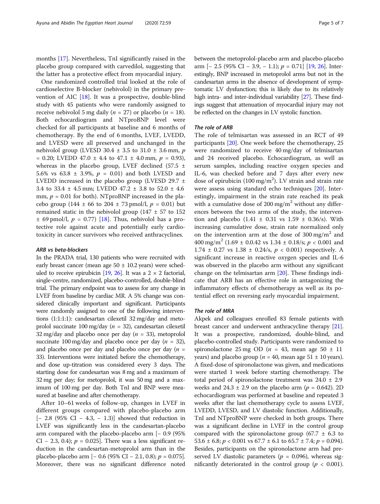months [[17\]](#page-6-0). Nevertheless, TnI significantly raised in the placebo group compared with carvedilol, suggesting that the latter has a protective effect from myocardial injury.

One randomized controlled trial looked at the role of cardioselective B-blocker (nebivolol) in the primary prevention of AIC [[18\]](#page-6-0). It was a prospective, double-blind study with 45 patients who were randomly assigned to receive nebivolol 5 mg daily ( $n = 27$ ) or placebo ( $n = 18$ ). Both echocardiogram and NTproBNP level were checked for all participants at baseline and 6 months of chemotherapy. By the end of 6 months, LVEF, LVEDD, and LVESD were all preserved and unchanged in the nebivolol group (LVESD 30.4  $\pm$  3.5 to 31.0  $\pm$  3.6 mm, p  $= 0.20$ ; LVEDD 47.0  $\pm$  4.4 to 47.1  $\pm$  4.0 mm,  $p = 0.93$ ), whereas in the placebo group, LVEF declined (57.5  $\pm$ 5.6% vs 63.8  $\pm$  3.9%,  $p = 0.01$ ) and both LVESD and LVEDD increased in the placebo group (LVESD 29.7  $\pm$ 3.4 to 33.4 ± 4.5 mm; LVEDD 47.2 ± 3.8 to 52.0 ± 4.6 mm,  $p = 0.01$  for both). NTproBNP increased in the placebo group (144  $\pm$  66 to 204  $\pm$  73 pmol/l,  $p = 0.01$ ) but remained static in the nebivolol group ( $147 \pm 57$  to  $152$  $\pm$  69 pmol/l,  $p = 0.77$  [[18](#page-6-0)]. Thus, nebivolol has a protective role against acute and potentially early cardiotoxicity in cancer survivors who received anthracyclines.

## ARB vs beta-blockers

In the PRADA trial, 130 patients who were recruited with early breast cancer (mean age  $50 \pm 10.2$  years) were sched-uled to receive epirubicin [\[19,](#page-6-0) [26\]](#page-6-0). It was a  $2 \times 2$  factorial, single-centre, randomized, placebo-controlled, double-blind trial. The primary endpoint was to assess for any change in LVEF from baseline by cardiac MR. A 5% change was considered clinically important and significant. Participants were randomly assigned to one of the following interventions (1:1:1:1): candesartan cilexetil 32 mg/day and metoprolol succinate 100 mg/day ( $n = 32$ ), candesartan cilexetil 32 mg/day and placebo once per day ( $n = 33$ ), metoprolol succinate 100 mg/day and placebo once per day ( $n = 32$ ), and placebo once per day and placebo once per day  $(n =$ 33). Interventions were initiated before the chemotherapy, and dose up-titration was considered every 3 days. The starting dose for candesartan was 8 mg and a maximum of 32 mg per day; for metoprolol, it was 50 mg and a maximum of 100 mg per day. Both TnI and BNP were measured at baseline and after chemotherapy.

After 10–61 weeks of follow-up, changes in LVEF in different groups compared with placebo-placebo arm [− 2.8 (95% CI − 4.3, − 1.3)] showed that reduction in LVEF was significantly less in the candesartan-placebo arm compared with the placebo-placebo arm [− 0.9 (95% CI – 2.3, 0.4);  $p = 0.025$ . There was a less significant reduction in the candesartan-metoprolol arm than in the placebo-placebo arm [– 0.6 (95% CI – 2.1, 0.8);  $p = 0.075$ ]. Moreover, there was no significant difference noted between the metoprolol-placebo arm and placebo-placebo arm  $[- 2.5 (95\% \text{ CI} - 3.9, -1.1); p = 0.71]$  [\[19,](#page-6-0) [26\]](#page-6-0). Interestingly, BNP increased in metoprolol arms but not in the candesartan arms in the absence of development of symptomatic LV dysfunction; this is likely due to its relatively high intra- and inter-individual variability [\[27\]](#page-6-0). These findings suggest that attenuation of myocardial injury may not be reflected on the changes in LV systolic function.

## The role of ARB

The role of telmisartan was assessed in an RCT of 49 participants [[20\]](#page-6-0). One week before the chemotherapy, 25 were randomized to receive 40 mg/day of telmisartan and 24 received placebo. Echocardiogram, as well as serum samples, including reactive oxygen species and IL-6, was checked before and 7 days after every new dose of epirubicin (100 mg/m<sup>2</sup>). LV strain and strain rate were assess using standard echo techniques [[20\]](#page-6-0). Interestingly, impairment in the strain rate reached its peak with a cumulative dose of 200 mg/m<sup>2</sup> without any differences between the two arms of the study, the intervention and placebo  $(1.41 \pm 0.31 \text{ vs } 1.59 \pm 0.36 \text{/s})$ . With increasing cumulative dose, strain rate normalized only on the intervention arm at the dose of  $300 \text{ mg/m}^2$  and 400 mg/m<sup>2</sup> (1.69  $\pm$  0.0.42 vs 1.34  $\pm$  0.18/s; *p* < 0.001 and  $1.74 \pm 0.27$  vs  $1.38 \pm 0.24$ /s,  $p < 0.001$ ) respectively. A significant increase in reactive oxygen species and IL-6 was observed in the placebo arm without any significant change on the telmisartan arm [[20](#page-6-0)]. These findings indicate that ARB has an effective role in antagonizing the inflammatory effects of chemotherapy as well as its potential effect on reversing early myocardial impairment.

#### The role of MRA

Akpek and colleagues enrolled 83 female patients with breast cancer and underwent anthracycline therapy [[21](#page-6-0)]. It was a prospective, randomized, double-blind, and placebo-controlled study. Participants were randomized to spironolactone 25 mg OD ( $n = 43$ , mean age 50  $\pm$  11 years) and placebo group ( $n = 40$ , mean age  $51 \pm 10$  years). A fixed-dose of spironolactone was given, and medications were started 1 week before starting chemotherapy. The total period of spironolactone treatment was  $24.0 \pm 2.9$ weeks and 24.3  $\pm$  2.9 on the placebo arm ( $p = 0.642$ ). 2D echocardiogram was performed at baseline and repeated 3 weeks after the last chemotherapy cycle to assess LVEF, LVEDD, LVESD, and LV diastolic function. Additionally, TnI and NTproBNP were checked in both groups. There was a significant decline in LVEF in the control group compared with the spironolactone group (67.7  $\pm$  6.3 to 53.6  $\pm$  6.8;  $p < 0.001$  vs 67.7  $\pm$  6.1 to 65.7  $\pm$  7.4;  $p = 0.094$ ). Besides, participants on the spironolactone arm had preserved LV diastolic parameters ( $p = 0.096$ ), whereas significantly deteriorated in the control group ( $p < 0.001$ ).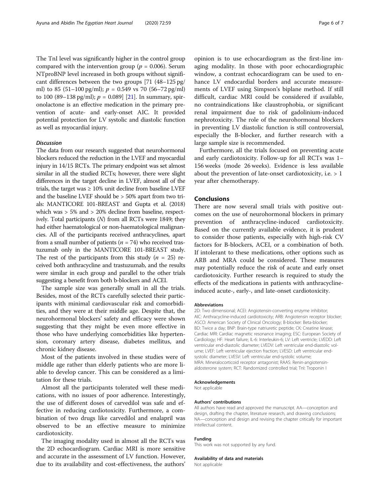The TnI level was significantly higher in the control group compared with the intervention group ( $p = 0.006$ ). Serum NTproBNP level increased in both groups without significant differences between the two groups [71 (48–125 pg/ ml) to 85 (51–100 pg/ml);  $p = 0.549$  vs 70 (56–72 pg/ml) to 100 (89–138 pg/ml);  $p = 0.089$  [\[21\]](#page-6-0). In summary, spironolactone is an effective medication in the primary prevention of acute- and early-onset AIC. It provided potential protection for LV systolic and diastolic function as well as myocardial injury.

## Discussion

The data from our research suggested that neurohormonal blockers reduced the reduction in the LVEF and myocardial injury in 14/15 RCTs. The primary endpoint was set almost similar in all the studied RCTs; however, there were slight differences in the target decline in LVEF, almost all of the trials, the target was  $\geq 10\%$  unit decline from baseline LVEF and the baseline LVEF should be > 50% apart from two trials: MANTICORE 101-BREAST and Gupta et al. (2018) which was > 5% and > 20% decline from baseline, respectively. Total participants  $(N)$  from all RCTs were 1849; they had either haematological or non-haematological malignancies. All of the participants received anthracyclines, apart from a small number of patients ( $n = 74$ ) who received trastuzumab only in the MANTICORE 101-BREAST study. The rest of the participants from this study  $(n = 25)$  received both anthracycline and trastuzumab, and the results were similar in each group and parallel to the other trials suggesting a benefit from both b-blockers and ACEI.

The sample size was generally small in all the trials. Besides, most of the RCTs carefully selected their participants with minimal cardiovascular risk and comorbidities, and they were at their middle age. Despite that, the neurohormonal blockers' safety and efficacy were shown suggesting that they might be even more effective in those who have underlying comorbidities like hypertension, coronary artery disease, diabetes mellitus, and chronic kidney disease.

Most of the patients involved in these studies were of middle age rather than elderly patients who are more liable to develop cancer. This can be considered as a limitation for these trials.

Almost all the participants tolerated well these medications, with no issues of poor adherence. Interestingly, the use of different doses of carvedilol was safe and effective in reducing cardiotoxicity. Furthermore, a combination of two drugs like carvedilol and enalapril was observed to be an effective measure to minimize cardiotoxicity.

The imaging modality used in almost all the RCTs was the 2D echocardiogram. Cardiac MRI is more sensitive and accurate in the assessment of LV function. However, due to its availability and cost-effectiveness, the authors'

opinion is to use echocardiogram as the first-line imaging modality. In those with poor echocardiographic window, a contrast echocardiogram can be used to enhance LV endocardial borders and accurate measurements of LVEF using Simpson's biplane method. If still difficult, cardiac MRI could be considered if available, no contraindications like claustrophobia, or significant renal impairment due to risk of gadolinium-induced nephrotoxicity. The role of the neurohormonal blockers in preventing LV diastolic function is still controversial, especially the B-blocker, and further research with a large sample size is recommended.

Furthermore, all the trials focused on preventing acute and early cardiotoxicity. Follow-up for all RCTs was 1– 156 weeks (mode 26 weeks). Evidence is less available about the prevention of late-onset cardiotoxicity, i.e. > 1 year after chemotherapy.

## Conclusions

There are now several small trials with positive outcomes on the use of neurohormonal blockers in primary prevention of anthracycline-induced cardiotoxicity. Based on the currently available evidence, it is prudent to consider those patients, especially with high-risk CV factors for B-blockers, ACEI, or a combination of both. If intolerant to these medications, other options such as ARB and MRA could be considered. These measures may potentially reduce the risk of acute and early onset cardiotoxicity. Further research is required to study the effects of the medications in patients with anthracyclineinduced acute-, early-, and late-onset cardiotoxicity.

#### Abbreviations

2D: Two dimensional; ACEI: Angiotensin-converting enzyme inhibitor; AIC: Anthracycline-induced cardiotoxicity; ARB: Angiotensin receptor blocker; ASCO: American Society of Clinical Oncology; B-blocker: Beta-blocker; BD: Twice a day; BNP: Brain-type natriuretic peptide; CK: Creatine kinase; Cardiac MRI: Cardiac magnetic resonance imaging; ESC: European Society of Cardiology; HF: Heart failure; IL-6: Interleukin-6; LV: Left ventricle; LVEDD: Left ventricular end-diastolic diameter; LVEDV: Left ventricular end-diastolic volume; LVEF: Left ventricular ejection fraction; LVESD: Left ventricular endsystolic diameter; LVESV: Left ventricular end-systolic volume; MRA: Mineralocorticoid receptor antagonist; RAAS: Renin-angiotensinaldosterone system; RCT: Randomized controlled trial; Tnl: Troponin I

#### Acknowledgements

Not applicable

#### Authors' contributions

All authors have read and approved the manuscript. AA—conception and design, drafting the chapter, literature research, and drawing conclusions; NA—conception and design and revising the chapter critically for important intellectual content.

#### Funding

This work was not supported by any fund.

#### Availability of data and materials

Not applicable